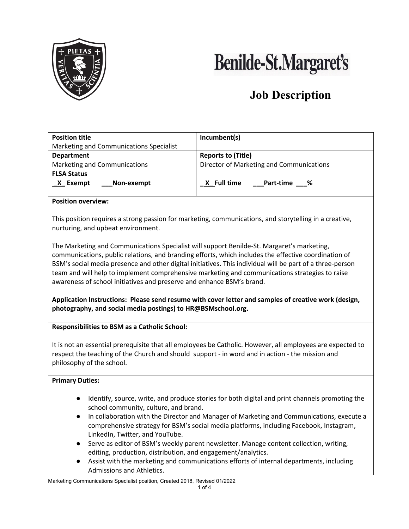

# **Benilde-St.Margaret's**

## **Job Description**

| <b>Position title</b>                        | Incumbent(s)                             |  |  |  |  |  |
|----------------------------------------------|------------------------------------------|--|--|--|--|--|
| Marketing and Communications Specialist      |                                          |  |  |  |  |  |
| <b>Department</b>                            | <b>Reports to (Title)</b>                |  |  |  |  |  |
| Marketing and Communications                 | Director of Marketing and Communications |  |  |  |  |  |
| <b>FLSA Status</b><br>Non-exempt<br>X Exempt | <u>X</u> Full time<br><b>Part-time</b> % |  |  |  |  |  |
| _____                                        |                                          |  |  |  |  |  |

#### **Position overview:**

This position requires a strong passion for marketing, communications, and storytelling in a creative, nurturing, and upbeat environment.

The Marketing and Communications Specialist will support Benilde-St. Margaret's marketing, communications, public relations, and branding efforts, which includes the effective coordination of BSM's social media presence and other digital initiatives. This individual will be part of a three-person team and will help to implement comprehensive marketing and communications strategies to raise awareness of school initiatives and preserve and enhance BSM's brand.

**Application Instructions: Please send resume with cover letter and samples of creative work (design, photography, and social media postings) to HR@BSMschool.org.**

#### **Responsibilities to BSM as a Catholic School:**

It is not an essential prerequisite that all employees be Catholic. However, all employees are expected to respect the teaching of the Church and should support - in word and in action - the mission and philosophy of the school.

#### **Primary Duties:**

- Identify, source, write, and produce stories for both digital and print channels promoting the school community, culture, and brand.
- In collaboration with the Director and Manager of Marketing and Communications, execute a comprehensive strategy for BSM's social media platforms, including Facebook, Instagram, LinkedIn, Twitter, and YouTube.
- Serve as editor of BSM's weekly parent newsletter. Manage content collection, writing, editing, production, distribution, and engagement/analytics.
- Assist with the marketing and communications efforts of internal departments, including Admissions and Athletics.

Marketing Communications Specialist position, Created 2018, Revised 01/2022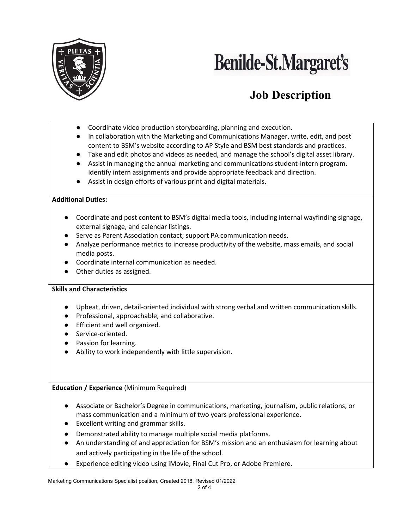

## **Benilde-St.Margaret's**

## **Job Description**

- Coordinate video production storyboarding, planning and execution.
- In collaboration with the Marketing and Communications Manager, write, edit, and post content to BSM's website according to AP Style and BSM best standards and practices.
- Take and edit photos and videos as needed, and manage the school's digital asset library.
- Assist in managing the annual marketing and communications student-intern program. Identify intern assignments and provide appropriate feedback and direction.
- Assist in design efforts of various print and digital materials.

#### **Additional Duties:**

- Coordinate and post content to BSM's digital media tools, including internal wayfinding signage, external signage, and calendar listings.
- Serve as Parent Association contact; support PA communication needs.
- Analyze performance metrics to increase productivity of the website, mass emails, and social media posts.
- Coordinate internal communication as needed.
- Other duties as assigned.

#### **Skills and Characteristics**

- Upbeat, driven, detail-oriented individual with strong verbal and written communication skills.
- Professional, approachable, and collaborative.
- Efficient and well organized.
- Service-oriented.
- Passion for learning.
- Ability to work independently with little supervision.

**Education / Experience** (Minimum Required)

- Associate or Bachelor's Degree in communications, marketing, journalism, public relations, or mass communication and a minimum of two years professional experience.
- Excellent writing and grammar skills.
- Demonstrated ability to manage multiple social media platforms.
- An understanding of and appreciation for BSM's mission and an enthusiasm for learning about and actively participating in the life of the school.
- Experience editing video using iMovie, Final Cut Pro, or Adobe Premiere.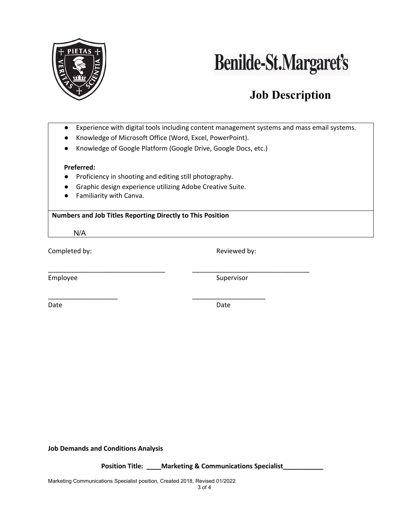



## **Job Description**

- Experience with digital tools including content management systems and mass email systems.
- Knowledge of Microsoft Office (Word, Excel, PowerPoint).
- Knowledge of Google Platform (Google Drive, Google Docs, etc.)

\_\_\_\_\_\_\_\_\_\_\_\_\_\_\_\_\_\_\_\_\_\_\_\_\_\_\_\_\_\_\_\_ \_\_\_\_\_\_\_\_\_\_\_\_\_\_\_\_\_\_\_\_\_\_\_\_\_\_\_\_\_\_\_\_

#### **Preferred:**

- Proficiency in shooting and editing still photography.
- Graphic design experience utilizing Adobe Creative Suite.
- Familiarity with Canva.

#### **Numbers and Job Titles Reporting Directly to This Position**

N/A

Completed by:  $\blacksquare$  Reviewed by:

Employee Supervisor

\_\_\_\_\_\_\_\_\_\_\_\_\_\_\_\_\_\_\_ \_\_\_\_\_\_\_\_\_\_\_\_\_\_\_\_\_\_\_\_ Date **Date** Date **Date** Date **Date** Date **Date** 

**Job Demands and Conditions Analysis**

 **Position Title: \_\_\_\_Marketing & Communications Specialist\_\_\_\_\_\_\_\_\_\_\_**

Marketing Communications Specialist position, Created 2018, Revised 01/2022